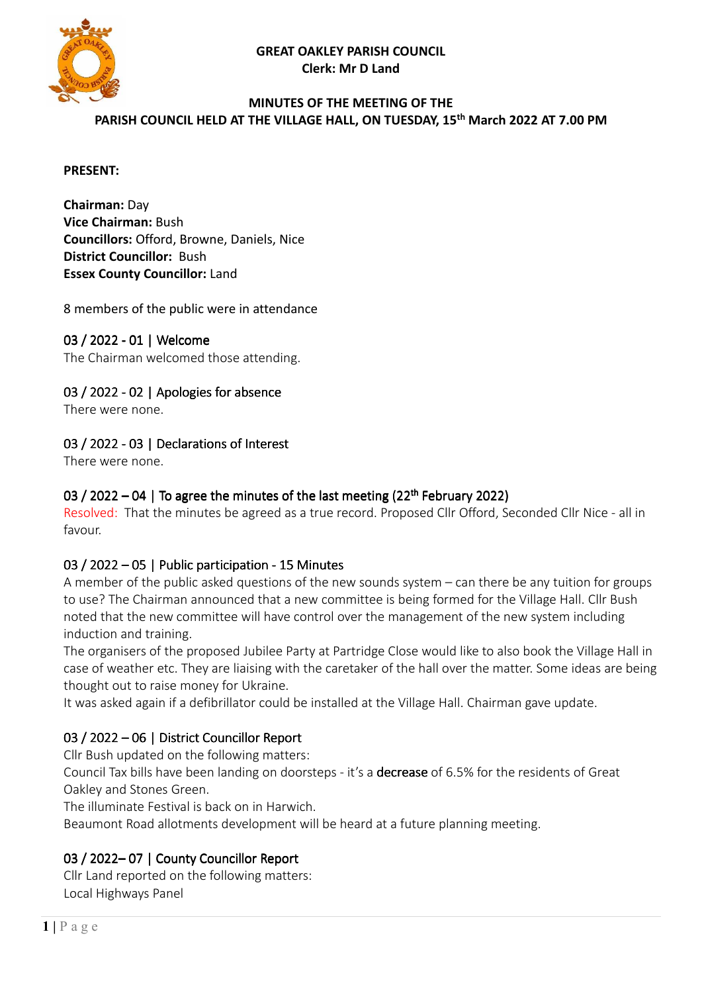**GREAT OAKLEY PARISH COUNCIL Clerk: Mr D Land** 



#### **MINUTES OF THE MEETING OF THE PARISH COUNCIL HELD AT THE VILLAGE HALL, ON TUESDAY, 15th March 2022 AT 7.00 PM**

#### **PRESENT:**

**Chairman:** Day **Vice Chairman:** Bush **Councillors:** Offord, Browne, Daniels, Nice **District Councillor:** Bush **Essex County Councillor:** Land

8 members of the public were in attendance

## 03 / 2022 - 01 | Welcome

The Chairman welcomed those attending.

## 03 / 2022 - 02 | Apologies for absence

There were none.

## 03 / 2022 - 03 | Declarations of Interest

There were none.

## 03 / 2022 – 04 | To agree the minutes of the last meeting  $(22<sup>th</sup>$  February 2022)

Resolved: That the minutes be agreed as a true record. Proposed Cllr Offord, Seconded Cllr Nice - all in favour.

### 03 / 2022 – 05 | Public participation - 15 Minutes

A member of the public asked questions of the new sounds system – can there be any tuition for groups to use? The Chairman announced that a new committee is being formed for the Village Hall. Cllr Bush noted that the new committee will have control over the management of the new system including induction and training.

The organisers of the proposed Jubilee Party at Partridge Close would like to also book the Village Hall in case of weather etc. They are liaising with the caretaker of the hall over the matter. Some ideas are being thought out to raise money for Ukraine.

It was asked again if a defibrillator could be installed at the Village Hall. Chairman gave update.

# 03 / 2022 – 06 | District Councillor Report

Cllr Bush updated on the following matters:

Council Tax bills have been landing on doorsteps - it's a decrease of 6.5% for the residents of Great Oakley and Stones Green.

The illuminate Festival is back on in Harwich.

Beaumont Road allotments development will be heard at a future planning meeting.

# 03 / 2022–07 | County Councillor Report

Cllr Land reported on the following matters: Local Highways Panel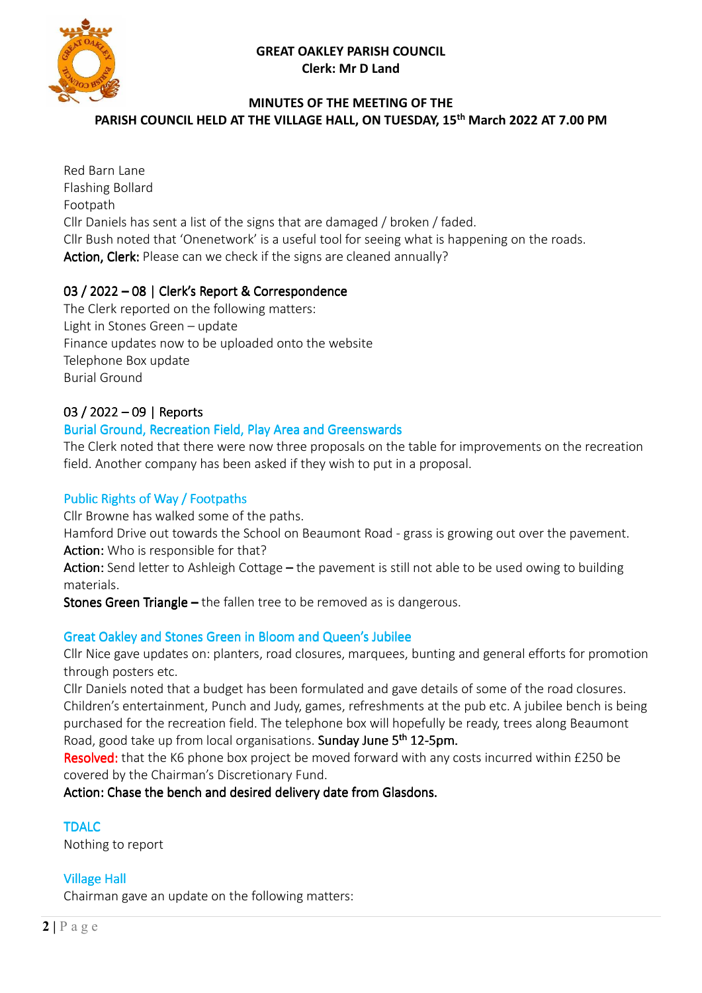#### **GREAT OAKLEY PARISH COUNCIL Clerk: Mr D Land**



### **MINUTES OF THE MEETING OF THE**

**PARISH COUNCIL HELD AT THE VILLAGE HALL, ON TUESDAY, 15th March 2022 AT 7.00 PM** 

Red Barn Lane Flashing Bollard Footpath Cllr Daniels has sent a list of the signs that are damaged / broken / faded. Cllr Bush noted that 'Onenetwork' is a useful tool for seeing what is happening on the roads. Action, Clerk: Please can we check if the signs are cleaned annually?

#### 03 / 2022 – 08 | Clerk's Report & Correspondence

The Clerk reported on the following matters: Light in Stones Green – update Finance updates now to be uploaded onto the website Telephone Box update Burial Ground

## 03 / 2022 - 09 | Reports

#### Burial Ground, Recreation Field, Play Area and Greenswards

The Clerk noted that there were now three proposals on the table for improvements on the recreation field. Another company has been asked if they wish to put in a proposal.

#### Public Rights of Way / Footpaths

Cllr Browne has walked some of the paths.

Hamford Drive out towards the School on Beaumont Road - grass is growing out over the pavement. Action: Who is responsible for that?

Action: Send letter to Ashleigh Cottage – the pavement is still not able to be used owing to building materials.

Stones Green Triangle – the fallen tree to be removed as is dangerous.

### Great Oakley and Stones Green in Bloom and Queen's Jubilee

Cllr Nice gave updates on: planters, road closures, marquees, bunting and general efforts for promotion through posters etc.

Cllr Daniels noted that a budget has been formulated and gave details of some of the road closures. Children's entertainment, Punch and Judy, games, refreshments at the pub etc. A jubilee bench is being purchased for the recreation field. The telephone box will hopefully be ready, trees along Beaumont Road, good take up from local organisations. Sunday June 5<sup>th</sup> 12-5pm.

Resolved: that the K6 phone box project be moved forward with any costs incurred within £250 be covered by the Chairman's Discretionary Fund.

Action: Chase the bench and desired delivery date from Glasdons.

#### **TDALC**

Nothing to report

### **Village Hall**

Chairman gave an update on the following matters: